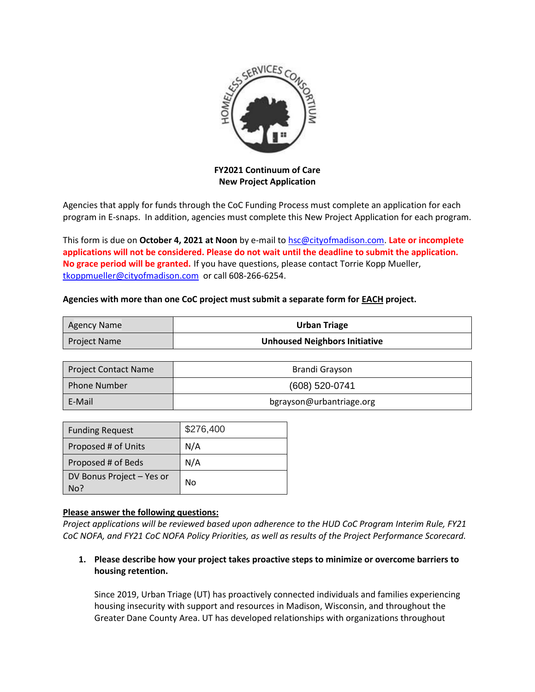

**FY2021 Continuum of Care New Project Application**

Agencies that apply for funds through the CoC Funding Process must complete an application for each program in E-snaps. In addition, agencies must complete this New Project Application for each program.

This form is due on **October 4, 2021 at Noon** by e-mail to [hsc@cityofmadison.com.](mailto:hsc@cityofmadison.com) **Late or incomplete applications will not be considered. Please do not wait until the deadline to submit the application. No grace period will be granted.** If you have questions, please contact Torrie Kopp Mueller, [tkoppmueller@cityofmadison.com](mailto:tkoppmueller@cityofmadison.com) or call 608-266-6254.

#### **Agencies with more than one CoC project must submit a separate form for EACH project.**

| Agency Name  | <b>Urban Triage</b>                  |
|--------------|--------------------------------------|
| Project Name | <b>Unhoused Neighbors Initiative</b> |

| <b>Project Contact Name</b> | Brandi Grayson           |
|-----------------------------|--------------------------|
| <b>Phone Number</b>         | (608) 520-0741           |
| E-Mail                      | bgrayson@urbantriage.org |

| <b>Funding Request</b>           | \$276,400 |
|----------------------------------|-----------|
| Proposed # of Units              | N/A       |
| Proposed # of Beds               | N/A       |
| DV Bonus Project - Yes or<br>No? | No        |

#### **Please answer the following questions:**

*Project applications will be reviewed based upon adherence to the HUD CoC Program Interim Rule, FY21 CoC NOFA, and FY21 CoC NOFA Policy Priorities, as well as results of the Project Performance Scorecard.*

**1. Please describe how your project takes proactive steps to minimize or overcome barriers to housing retention.** 

Since 2019, Urban Triage (UT) has proactively connected individuals and families experiencing housing insecurity with support and resources in Madison, Wisconsin, and throughout the Greater Dane County Area. UT has developed relationships with organizations throughout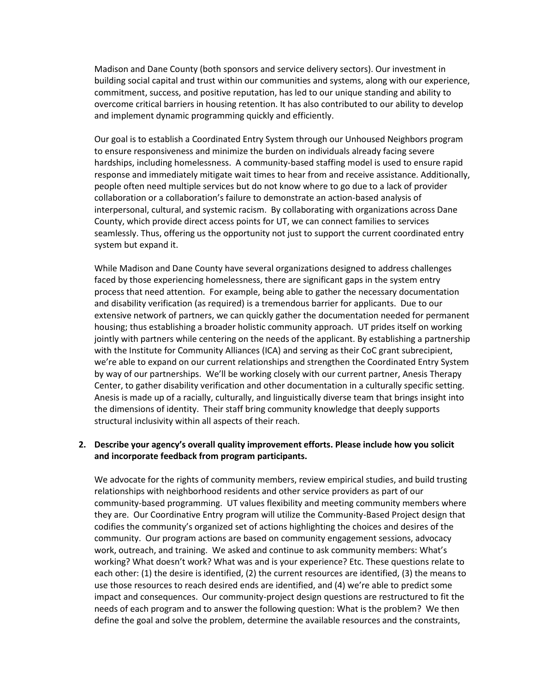Madison and Dane County (both sponsors and service delivery sectors). Our investment in building social capital and trust within our communities and systems, along with our experience, commitment, success, and positive reputation, has led to our unique standing and ability to overcome critical barriers in housing retention. It has also contributed to our ability to develop and implement dynamic programming quickly and efficiently.

Our goal is to establish a Coordinated Entry System through our Unhoused Neighbors program to ensure responsiveness and minimize the burden on individuals already facing severe hardships, including homelessness. A community-based staffing model is used to ensure rapid response and immediately mitigate wait times to hear from and receive assistance. Additionally, people often need multiple services but do not know where to go due to a lack of provider collaboration or a collaboration's failure to demonstrate an action-based analysis of interpersonal, cultural, and systemic racism. By collaborating with organizations across Dane County, which provide direct access points for UT, we can connect families to services seamlessly. Thus, offering us the opportunity not just to support the current coordinated entry system but expand it.

While Madison and Dane County have several organizations designed to address challenges faced by those experiencing homelessness, there are significant gaps in the system entry process that need attention. For example, being able to gather the necessary documentation and disability verification (as required) is a tremendous barrier for applicants. Due to our extensive network of partners, we can quickly gather the documentation needed for permanent housing; thus establishing a broader holistic community approach. UT prides itself on working jointly with partners while centering on the needs of the applicant. By establishing a partnership with the Institute for Community Alliances (ICA) and serving as their CoC grant subrecipient, we're able to expand on our current relationships and strengthen the Coordinated Entry System by way of our partnerships. We'll be working closely with our current partner, Anesis Therapy Center, to gather disability verification and other documentation in a culturally specific setting. Anesis is made up of a racially, culturally, and linguistically diverse team that brings insight into the dimensions of identity. Their staff bring community knowledge that deeply supports structural inclusivity within all aspects of their reach.

#### **2. Describe your agency's overall quality improvement efforts. Please include how you solicit and incorporate feedback from program participants.**

We advocate for the rights of community members, review empirical studies, and build trusting relationships with neighborhood residents and other service providers as part of our community-based programming. UT values flexibility and meeting community members where they are. Our Coordinative Entry program will utilize the Community-Based Project design that codifies the community's organized set of actions highlighting the choices and desires of the community. Our program actions are based on community engagement sessions, advocacy work, outreach, and training. We asked and continue to ask community members: What's working? What doesn't work? What was and is your experience? Etc. These questions relate to each other: (1) the desire is identified, (2) the current resources are identified, (3) the means to use those resources to reach desired ends are identified, and (4) we're able to predict some impact and consequences. Our community-project design questions are restructured to fit the needs of each program and to answer the following question: What is the problem? We then define the goal and solve the problem, determine the available resources and the constraints,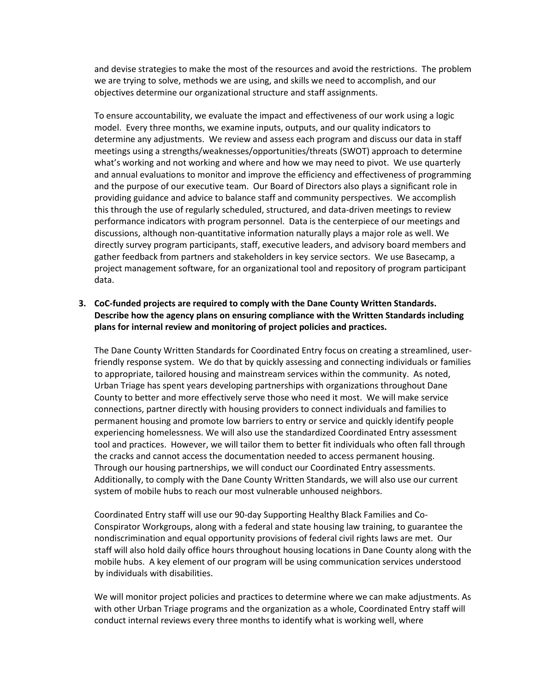and devise strategies to make the most of the resources and avoid the restrictions. The problem we are trying to solve, methods we are using, and skills we need to accomplish, and our objectives determine our organizational structure and staff assignments.

To ensure accountability, we evaluate the impact and effectiveness of our work using a logic model. Every three months, we examine inputs, outputs, and our quality indicators to determine any adjustments. We review and assess each program and discuss our data in staff meetings using a strengths/weaknesses/opportunities/threats (SWOT) approach to determine what's working and not working and where and how we may need to pivot. We use quarterly and annual evaluations to monitor and improve the efficiency and effectiveness of programming and the purpose of our executive team. Our Board of Directors also plays a significant role in providing guidance and advice to balance staff and community perspectives. We accomplish this through the use of regularly scheduled, structured, and data-driven meetings to review performance indicators with program personnel. Data is the centerpiece of our meetings and discussions, although non-quantitative information naturally plays a major role as well. We directly survey program participants, staff, executive leaders, and advisory board members and gather feedback from partners and stakeholders in key service sectors. We use Basecamp, a project management software, for an organizational tool and repository of program participant data.

## **3. CoC-funded projects are required to comply with the Dane County Written Standards. Describe how the agency plans on ensuring compliance with the Written Standards including plans for internal review and monitoring of project policies and practices.**

The Dane County Written Standards for Coordinated Entry focus on creating a streamlined, userfriendly response system. We do that by quickly assessing and connecting individuals or families to appropriate, tailored housing and mainstream services within the community. As noted, Urban Triage has spent years developing partnerships with organizations throughout Dane County to better and more effectively serve those who need it most. We will make service connections, partner directly with housing providers to connect individuals and families to permanent housing and promote low barriers to entry or service and quickly identify people experiencing homelessness. We will also use the standardized Coordinated Entry assessment tool and practices. However, we will tailor them to better fit individuals who often fall through the cracks and cannot access the documentation needed to access permanent housing. Through our housing partnerships, we will conduct our Coordinated Entry assessments. Additionally, to comply with the Dane County Written Standards, we will also use our current system of mobile hubs to reach our most vulnerable unhoused neighbors.

Coordinated Entry staff will use our 90-day Supporting Healthy Black Families and Co-Conspirator Workgroups, along with a federal and state housing law training, to guarantee the nondiscrimination and equal opportunity provisions of federal civil rights laws are met. Our staff will also hold daily office hours throughout housing locations in Dane County along with the mobile hubs. A key element of our program will be using communication services understood by individuals with disabilities.

We will monitor project policies and practices to determine where we can make adjustments. As with other Urban Triage programs and the organization as a whole, Coordinated Entry staff will conduct internal reviews every three months to identify what is working well, where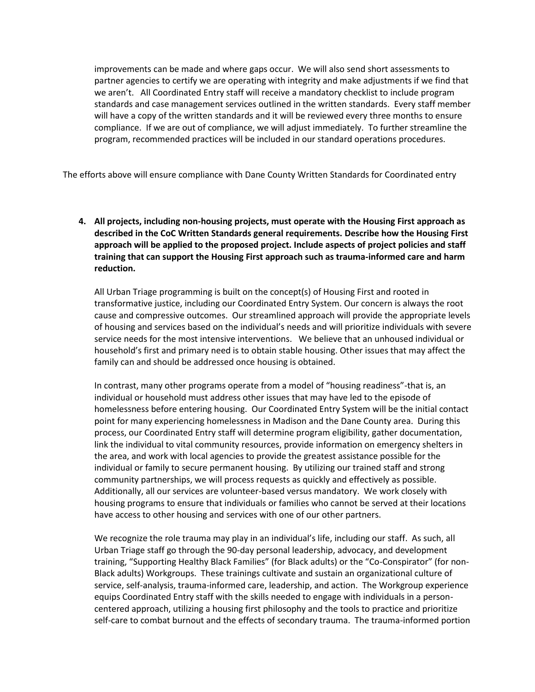improvements can be made and where gaps occur. We will also send short assessments to partner agencies to certify we are operating with integrity and make adjustments if we find that we aren't. All Coordinated Entry staff will receive a mandatory checklist to include program standards and case management services outlined in the written standards. Every staff member will have a copy of the written standards and it will be reviewed every three months to ensure compliance. If we are out of compliance, we will adjust immediately. To further streamline the program, recommended practices will be included in our standard operations procedures.

The efforts above will ensure compliance with Dane County Written Standards for Coordinated entry

**4. All projects, including non-housing projects, must operate with the Housing First approach as described in the CoC Written Standards general requirements. Describe how the Housing First approach will be applied to the proposed project. Include aspects of project policies and staff training that can support the Housing First approach such as trauma-informed care and harm reduction.**

All Urban Triage programming is built on the concept(s) of Housing First and rooted in transformative justice, including our Coordinated Entry System. Our concern is always the root cause and compressive outcomes. Our streamlined approach will provide the appropriate levels of housing and services based on the individual's needs and will prioritize individuals with severe service needs for the most intensive interventions. We believe that an unhoused individual or household's first and primary need is to obtain stable housing. Other issues that may affect the family can and should be addressed once housing is obtained.

In contrast, many other programs operate from a model of "housing readiness"-that is, an individual or household must address other issues that may have led to the episode of homelessness before entering housing. Our Coordinated Entry System will be the initial contact point for many experiencing homelessness in Madison and the Dane County area. During this process, our Coordinated Entry staff will determine program eligibility, gather documentation, link the individual to vital community resources, provide information on emergency shelters in the area, and work with local agencies to provide the greatest assistance possible for the individual or family to secure permanent housing. By utilizing our trained staff and strong community partnerships, we will process requests as quickly and effectively as possible. Additionally, all our services are volunteer-based versus mandatory. We work closely with housing programs to ensure that individuals or families who cannot be served at their locations have access to other housing and services with one of our other partners.

We recognize the role trauma may play in an individual's life, including our staff. As such, all Urban Triage staff go through the 90-day personal leadership, advocacy, and development training, "Supporting Healthy Black Families" (for Black adults) or the "Co-Conspirator" (for non-Black adults) Workgroups. These trainings cultivate and sustain an organizational culture of service, self-analysis, trauma-informed care, leadership, and action. The Workgroup experience equips Coordinated Entry staff with the skills needed to engage with individuals in a personcentered approach, utilizing a housing first philosophy and the tools to practice and prioritize self-care to combat burnout and the effects of secondary trauma. The trauma-informed portion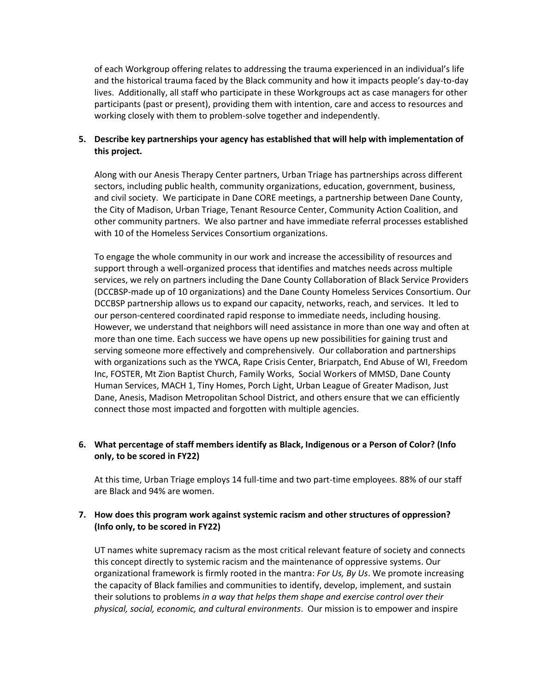of each Workgroup offering relates to addressing the trauma experienced in an individual's life and the historical trauma faced by the Black community and how it impacts people's day-to-day lives. Additionally, all staff who participate in these Workgroups act as case managers for other participants (past or present), providing them with intention, care and access to resources and working closely with them to problem-solve together and independently.

## **5. Describe key partnerships your agency has established that will help with implementation of this project.**

Along with our Anesis Therapy Center partners, Urban Triage has partnerships across different sectors, including public health, community organizations, education, government, business, and civil society. We participate in Dane CORE meetings, a partnership between Dane County, the City of Madison, Urban Triage, Tenant Resource Center, Community Action Coalition, and other community partners. We also partner and have immediate referral processes established with 10 of the Homeless Services Consortium organizations.

To engage the whole community in our work and increase the accessibility of resources and support through a well-organized process that identifies and matches needs across multiple services, we rely on partners including the Dane County Collaboration of Black Service Providers (DCCBSP-made up of 10 organizations) and the Dane County Homeless Services Consortium. Our DCCBSP partnership allows us to expand our capacity, networks, reach, and services. It led to our person-centered coordinated rapid response to immediate needs, including housing. However, we understand that neighbors will need assistance in more than one way and often at more than one time. Each success we have opens up new possibilities for gaining trust and serving someone more effectively and comprehensively. Our collaboration and partnerships with organizations such as the YWCA, Rape Crisis Center, Briarpatch, End Abuse of WI, Freedom Inc, FOSTER, Mt Zion Baptist Church, Family Works, Social Workers of MMSD, Dane County Human Services, MACH 1, Tiny Homes, Porch Light, Urban League of Greater Madison, Just Dane, Anesis, Madison Metropolitan School District, and others ensure that we can efficiently connect those most impacted and forgotten with multiple agencies.

# **6. What percentage of staff members identify as Black, Indigenous or a Person of Color? (Info only, to be scored in FY22)**

At this time, Urban Triage employs 14 full-time and two part-time employees. 88% of our staff are Black and 94% are women.

## **7. How does this program work against systemic racism and other structures of oppression? (Info only, to be scored in FY22)**

UT names white supremacy racism as the most critical relevant feature of society and connects this concept directly to systemic racism and the maintenance of oppressive systems. Our organizational framework is firmly rooted in the mantra: *For Us, By Us*. We promote increasing the capacity of Black families and communities to identify, develop, implement, and sustain their solutions to problems *in a way that helps them shape and exercise control over their physical, social, economic, and cultural environments*. Our mission is to empower and inspire